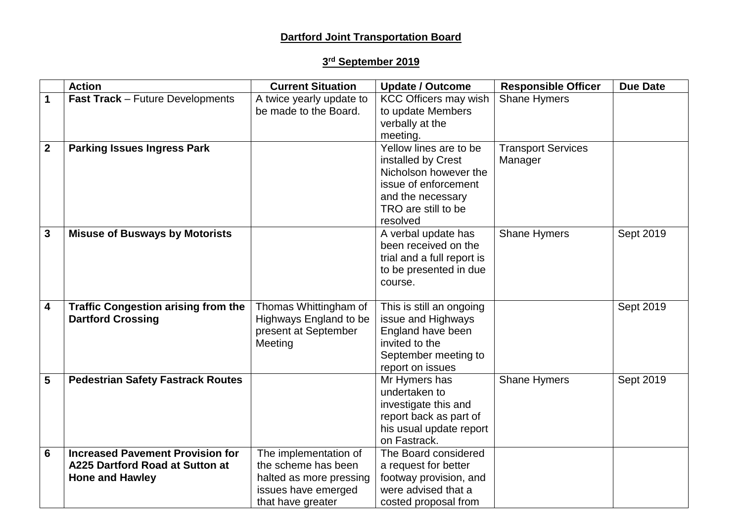# **Dartford Joint Transportation Board**

### **3 rd September 2019**

|                         | <b>Action</b>                              | <b>Current Situation</b> | <b>Update / Outcome</b>      | <b>Responsible Officer</b> | <b>Due Date</b> |
|-------------------------|--------------------------------------------|--------------------------|------------------------------|----------------------------|-----------------|
| 1                       | <b>Fast Track - Future Developments</b>    | A twice yearly update to | <b>KCC Officers may wish</b> | <b>Shane Hymers</b>        |                 |
|                         |                                            | be made to the Board.    | to update Members            |                            |                 |
|                         |                                            |                          | verbally at the              |                            |                 |
|                         |                                            |                          | meeting.                     |                            |                 |
| $\mathbf{2}$            | <b>Parking Issues Ingress Park</b>         |                          | Yellow lines are to be       | <b>Transport Services</b>  |                 |
|                         |                                            |                          | installed by Crest           | Manager                    |                 |
|                         |                                            |                          | Nicholson however the        |                            |                 |
|                         |                                            |                          | issue of enforcement         |                            |                 |
|                         |                                            |                          | and the necessary            |                            |                 |
|                         |                                            |                          | TRO are still to be          |                            |                 |
|                         |                                            |                          | resolved                     |                            |                 |
| $\mathbf{3}$            | <b>Misuse of Busways by Motorists</b>      |                          | A verbal update has          | <b>Shane Hymers</b>        | Sept 2019       |
|                         |                                            |                          | been received on the         |                            |                 |
|                         |                                            |                          | trial and a full report is   |                            |                 |
|                         |                                            |                          | to be presented in due       |                            |                 |
|                         |                                            |                          | course.                      |                            |                 |
|                         |                                            |                          |                              |                            |                 |
| $\overline{\mathbf{4}}$ | <b>Traffic Congestion arising from the</b> | Thomas Whittingham of    | This is still an ongoing     |                            | Sept 2019       |
|                         | <b>Dartford Crossing</b>                   | Highways England to be   | issue and Highways           |                            |                 |
|                         |                                            | present at September     | England have been            |                            |                 |
|                         |                                            | Meeting                  | invited to the               |                            |                 |
|                         |                                            |                          | September meeting to         |                            |                 |
|                         |                                            |                          | report on issues             |                            |                 |
| 5                       | <b>Pedestrian Safety Fastrack Routes</b>   |                          | Mr Hymers has                | <b>Shane Hymers</b>        | Sept 2019       |
|                         |                                            |                          | undertaken to                |                            |                 |
|                         |                                            |                          | investigate this and         |                            |                 |
|                         |                                            |                          | report back as part of       |                            |                 |
|                         |                                            |                          | his usual update report      |                            |                 |
|                         |                                            |                          | on Fastrack.                 |                            |                 |
| 6                       | <b>Increased Pavement Provision for</b>    | The implementation of    | The Board considered         |                            |                 |
|                         | A225 Dartford Road at Sutton at            | the scheme has been      | a request for better         |                            |                 |
|                         | <b>Hone and Hawley</b>                     | halted as more pressing  | footway provision, and       |                            |                 |
|                         |                                            | issues have emerged      | were advised that a          |                            |                 |
|                         |                                            | that have greater        | costed proposal from         |                            |                 |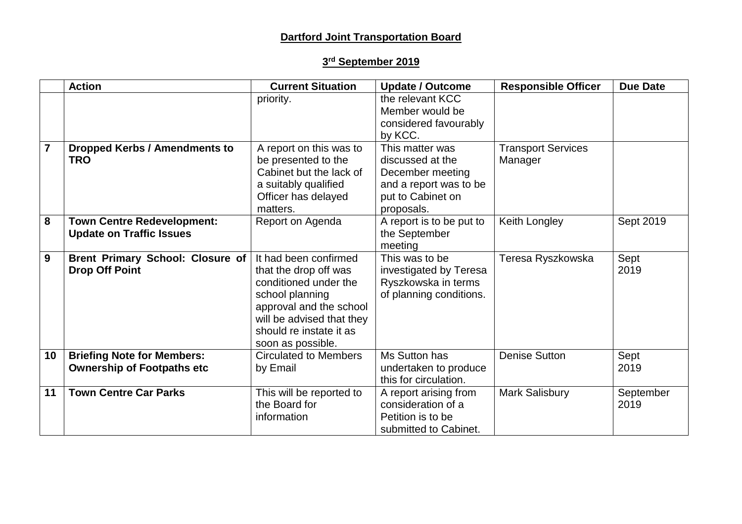# **Dartford Joint Transportation Board**

### **3 rd September 2019**

|                | <b>Action</b>                                                          | <b>Current Situation</b>                                                                                                                                                                           | <b>Update / Outcome</b>                                                                                              | <b>Responsible Officer</b>           | <b>Due Date</b>   |
|----------------|------------------------------------------------------------------------|----------------------------------------------------------------------------------------------------------------------------------------------------------------------------------------------------|----------------------------------------------------------------------------------------------------------------------|--------------------------------------|-------------------|
|                |                                                                        | priority.                                                                                                                                                                                          | the relevant KCC<br>Member would be                                                                                  |                                      |                   |
|                |                                                                        |                                                                                                                                                                                                    | considered favourably<br>by KCC.                                                                                     |                                      |                   |
| $\overline{7}$ | <b>Dropped Kerbs / Amendments to</b><br><b>TRO</b>                     | A report on this was to<br>be presented to the<br>Cabinet but the lack of<br>a suitably qualified<br>Officer has delayed<br>matters.                                                               | This matter was<br>discussed at the<br>December meeting<br>and a report was to be<br>put to Cabinet on<br>proposals. | <b>Transport Services</b><br>Manager |                   |
| 8              | <b>Town Centre Redevelopment:</b><br><b>Update on Traffic Issues</b>   | Report on Agenda                                                                                                                                                                                   | A report is to be put to<br>the September<br>meeting                                                                 | Keith Longley                        | Sept 2019         |
| 9              | <b>Brent Primary School: Closure of</b><br><b>Drop Off Point</b>       | It had been confirmed<br>that the drop off was<br>conditioned under the<br>school planning<br>approval and the school<br>will be advised that they<br>should re instate it as<br>soon as possible. | This was to be<br>investigated by Teresa<br>Ryszkowska in terms<br>of planning conditions.                           | Teresa Ryszkowska                    | Sept<br>2019      |
| 10             | <b>Briefing Note for Members:</b><br><b>Ownership of Footpaths etc</b> | <b>Circulated to Members</b><br>by Email                                                                                                                                                           | Ms Sutton has<br>undertaken to produce<br>this for circulation.                                                      | <b>Denise Sutton</b>                 | Sept<br>2019      |
| 11             | <b>Town Centre Car Parks</b>                                           | This will be reported to<br>the Board for<br>information                                                                                                                                           | A report arising from<br>consideration of a<br>Petition is to be<br>submitted to Cabinet.                            | Mark Salisbury                       | September<br>2019 |